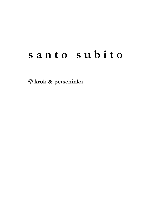# **s a n t o s u b i t o**

**© krok & petschinka**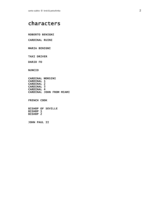# characters

ROBERTO BENIGNI

CARDINAL RUINI

MARIA BENIGNI

TAXI DRIVER

DARIO FO

NUNCIO

CARDINAL MORSINI CARDINAL 1 CARDINAL 2 CARDINAL 3 CARDINAL 4 CARDINAL JOHN FROM MIAMI

FRENCH COOK

BISHOP OF SEVILLE BISHOP 1 BISHOP 2

JOHN PAUL II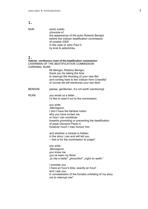| NUN | santo subito.                               |
|-----|---------------------------------------------|
|     | chronicle of                                |
|     | the appearance of the actor Roberto Benigni |
|     | before the Vatican beatification commission |
|     | of october 2005                             |
|     | in the case of John Paul II.                |
|     | by krok & petschinka                        |
|     |                                             |

# $\overline{2}$

| Ζ.<br>Vatican. conference room of the beatification commission<br>CHAIRMAN OF THE BEATIFICATION COMMISSION |                                                                                                                                                                                                                                           |  |
|------------------------------------------------------------------------------------------------------------|-------------------------------------------------------------------------------------------------------------------------------------------------------------------------------------------------------------------------------------------|--|
| <b>CARDINAL RUINI</b>                                                                                      | Mr Benigni, Roberto Benigni,<br>thank you for taking the time<br>to interrupt the shooting of your new film<br>and coming here to the Vatican from Cinecitta!<br>of course we will reimburse your taxi fare!                              |  |
| <b>BENIGNI</b>                                                                                             | please, gentlemen, it's not worth mentioning!                                                                                                                                                                                             |  |
| <b>RUINI</b>                                                                                               | you wrote us a letter<br>I'd like to read it out to the commission:                                                                                                                                                                       |  |
|                                                                                                            | you write:<br>"Monsignori,<br>I don't have the faintest notion<br>why you have invited me<br>or how I can contribute<br>towards promoting or preventing the beatification<br>of pope Giovanni Paolo II.<br>however much I may honour him. |  |
|                                                                                                            | and whether a miracle is hidden<br>in the story I can and will tell you<br>- that is for the commission to judge!"                                                                                                                        |  |
|                                                                                                            | you write :<br>"Monsignori,<br>you know me.<br>you've seen my films!<br>"la vita e bella!" "pinocchio!" "night on earth."                                                                                                                 |  |
|                                                                                                            | I promise you<br>I have an hour's time, exactly an hour!<br>and I ask you,<br>in consideration of the forceful unfolding of my story<br>not to interrupt me!"                                                                             |  |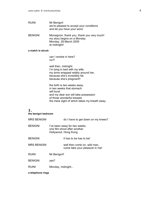# RUINI Mr Benigni! we're pleased to accept your conditions and let you have your word.

BENIGNI Monsignori, thank you, thank you very much! my story begins on a Monday Monday, 28.March 2005 at midnight!

#### **a match is struck**

can I smoke in here? no?!

well then, midnight. I'm Iving in bed with my wife. my arms wrapped widely around her. because she's incredibly fat. because she's pregnant!!

the birth is two weeks away. in two weeks that stomach will burst and my dear son will take possession of those wonderful breasts the mere sight of which takes my breath away.

# 3.

**the benigni bedroom**

| <b>MRS BENIGNI</b> | do I have to get down on my knees?                                                      |
|--------------------|-----------------------------------------------------------------------------------------|
| <b>BENIGNI</b>     | I've been away for two weeks.<br>one film shoot after another.<br>Hollywood. Hong Kong. |
| <b>BENIGNI</b>     | it has to be has to be!                                                                 |
| <b>MRS BENIGNI</b> | well then come on, wild man,<br>come take your pleasure in me!                          |
| <b>RUINI</b>       | Mr Benigni!!                                                                            |
| <b>BENIGNI</b>     | yes?                                                                                    |
| <b>RUINI</b>       | Monday, midnight                                                                        |
| a telephone rings  |                                                                                         |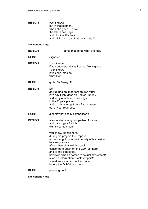| <b>BENIGNI</b> | yes, I know!                          |
|----------------|---------------------------------------|
|                | but in that moment,                   |
|                | when she goes  down                   |
|                | the telephone rings                   |
|                | and I look at the time                |
|                | and think: who can that be, so late?! |

### **a telephone rings**

| <b>BENIGNI</b> | porco madonna! what the fuck!!                                                                                                                                                                                                                                                                                                                                                                           |
|----------------|----------------------------------------------------------------------------------------------------------------------------------------------------------------------------------------------------------------------------------------------------------------------------------------------------------------------------------------------------------------------------------------------------------|
| <b>RUINI</b>   | Signore!                                                                                                                                                                                                                                                                                                                                                                                                 |
| <b>BENIGNI</b> | I don't know<br>if you understand why I curse, Monsignore!<br>I don't know<br>if you can imagine<br>what I felt.                                                                                                                                                                                                                                                                                         |
| <b>RUINI</b>   | quite, Mr Benigni!!                                                                                                                                                                                                                                                                                                                                                                                      |
| <b>BENIGNI</b> | iť's<br>as if during an important church ritual -<br>let's say High Mass on Easter Sunday -<br>suddenly a mobile phone rings<br>in the Pope's pocket,<br>and it pulls you right out of your prayer,<br>out of your reverence!                                                                                                                                                                            |
| <b>RUINI</b>   | a somewhat shaky comparison!!                                                                                                                                                                                                                                                                                                                                                                            |
| <b>BENIGNI</b> | a somewhat shaky comparison for sure.<br>and I apologise for this<br>clumsy comparison!                                                                                                                                                                                                                                                                                                                  |
|                | you know, Monsignore,<br>during his prayers the Pope is<br>not so caught up in the intensity of his desires.<br>he can quickly -<br>after a little chat with his cook -<br>concentrate again on the GUY up there.<br>and all the others too.<br>however, when it comes to sexual excitement!!<br>such an interruption is catastrophic!!<br>sometimes you can wait for hours<br>before the GUY down there |
| <b>RUINI</b>   | please go on!                                                                                                                                                                                                                                                                                                                                                                                            |

**a telephone rings**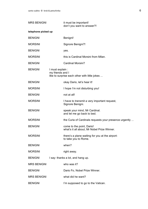| <b>MRS BENIGNI</b>  | it must be important!<br>don't you want to answer?!                                   |  |
|---------------------|---------------------------------------------------------------------------------------|--|
| telephone picked up |                                                                                       |  |
| <b>BENIGNI</b>      | Benigni!                                                                              |  |
| <b>MORSINI</b>      | Signore Benigni?!                                                                     |  |
| <b>BENIGNI</b>      | yes.                                                                                  |  |
| <b>MORSINI</b>      | this is Cardinal Morsini from Milan.                                                  |  |
| <b>BENIGNI</b>      | <b>Cardinal Morsini?</b>                                                              |  |
| <b>BENIGNI</b>      | I must explain :<br>my friends and I<br>like to surprise each other with little jokes |  |
| <b>BENIGNI</b>      | okay Dario, let's hear it!                                                            |  |
| <b>MORSINI</b>      | I hope I'm not disturbing you!                                                        |  |
| <b>BENIGNI</b>      | not at all!                                                                           |  |
| <b>MORSINI</b>      | I have to transmit a very important request,<br>Signore Benigni.                      |  |
| <b>BENIGNI</b>      | speak your mind, Mr Cardinal.<br>and let me go back to bed.                           |  |
| <b>MORSINI</b>      | the Curia of Cardinals requests your presence urgently                                |  |
| <b>BENIGNI</b>      | come to the point, Dario!<br>what's it all about, Mr Nobel Prize Winner.              |  |
| <b>MORSINI</b>      | there's a plane waiting for you at the airport:<br>to take you to Rome.               |  |
| <b>BENIGNI</b>      | when?                                                                                 |  |
| <b>MORSINI</b>      | right away.                                                                           |  |
| <b>BENIGNI</b>      | I say: thanks a lot, and hang up.                                                     |  |
| <b>MRS BENIGNI</b>  | who was it?                                                                           |  |
| <b>BENIGNI</b>      | Dario Fo, Nobel Prize Winner.                                                         |  |
| <b>MRS BENIGNI</b>  | what did he want?                                                                     |  |
| <b>BENIGNI</b>      | I'm supposed to go to the Vatican.                                                    |  |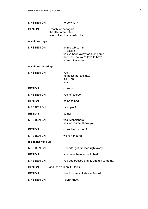| <b>MRS BENIGNI</b>  |                                                  | to do what?                                                                                                                      |
|---------------------|--------------------------------------------------|----------------------------------------------------------------------------------------------------------------------------------|
| <b>BENIGNI</b>      | I reach for her again<br>the little interruption | was not such a catastrophe.                                                                                                      |
| telephone rings     |                                                  |                                                                                                                                  |
| <b>MRS BENIGNI</b>  |                                                  | let me talk to him.<br>l'Il explain :<br>you've been away for a long time<br>and just now you'd love to have<br>a few minutes to |
| telephone picked up |                                                  |                                                                                                                                  |
| <b>MRS BENIGNI</b>  |                                                  | yes<br>no no it's not too late.<br>it's  oh.<br>yes.                                                                             |
| <b>BENIGNI</b>      |                                                  | come on.                                                                                                                         |
| <b>MRS BENIGNI</b>  |                                                  | yes. of course!                                                                                                                  |
| <b>BENIGNI</b>      |                                                  | come to bed!                                                                                                                     |
| <b>MRS BENIGNI</b>  |                                                  | psst! psst!                                                                                                                      |
| <b>BENIGNI</b>      |                                                  | come!                                                                                                                            |
| <b>MRS BENIGNI</b>  |                                                  | yes, Monsignore.<br>yes, of course. thank you.                                                                                   |
| <b>BENIGNI</b>      |                                                  | come back to bed!!                                                                                                               |
| <b>MRS BENIGNI</b>  |                                                  | we're honoured!                                                                                                                  |
| telephone hung up   |                                                  |                                                                                                                                  |
| <b>MRS BENIGNI</b>  |                                                  | Roberto! get dressed right away!                                                                                                 |
| <b>BENIGNI</b>      |                                                  | you come here to me in bed!                                                                                                      |
| <b>MRS BENIGNI</b>  |                                                  | you get dressed and fly straight to Rome.                                                                                        |
| <b>BENIGNI</b>      |                                                  | aha, she's in on it, I think                                                                                                     |
| <b>BENIGNI</b>      |                                                  | how long must I stay in Rome?                                                                                                    |
| <b>MRS BENIGNI</b>  |                                                  | I don't know.                                                                                                                    |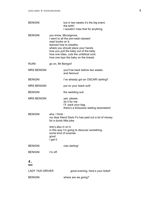| <b>BENIGNI</b>          | but in two weeks it's the big event.<br>the birth!<br>I wouldn't miss that for anything.                                                                                                                                                                                          |
|-------------------------|-----------------------------------------------------------------------------------------------------------------------------------------------------------------------------------------------------------------------------------------------------------------------------------|
| <b>BENIGNI</b>          | you know, Monsignore,<br>I went to all the pre-natal classes!<br>read books on it.<br>learned how to breathe.<br>where you should place your hands.<br>how you pull the baby out of the belly.<br>how one bites, cuts the umbilical cord.<br>how one lays the baby on the breast. |
| <b>RUINI</b>            | go on, Mr Benigni!                                                                                                                                                                                                                                                                |
| <b>MRS BENIGNI</b>      | you'll be back before two weeks.<br>and famous!                                                                                                                                                                                                                                   |
| <b>BENIGNI</b>          | I've already got an OSCAR! darling!!                                                                                                                                                                                                                                              |
| <b>MRS BENIGNI</b>      | put on your black suit!                                                                                                                                                                                                                                                           |
| <b>BENIGNI</b>          | the wedding suit                                                                                                                                                                                                                                                                  |
| <b>MRS BENIGNI</b>      | yes. please.<br>do it for me.<br>I'll pack your bag.<br>there's a limousine waiting downstairs!                                                                                                                                                                                   |
| <b>BENIGNI</b>          | aha, I think:<br>my dear friend Dario Fo has paid out a lot of money<br>for a dumb little joke.                                                                                                                                                                                   |
|                         | she's also in on it.<br>in this way I'm going to discover something.<br>some kind of surprise.<br>good.<br>I get it.                                                                                                                                                              |
| <b>BENIGNI</b>          | ciao darling!                                                                                                                                                                                                                                                                     |
| <b>BENIGNI</b>          | I'm off.                                                                                                                                                                                                                                                                          |
| 4.<br>taxi              |                                                                                                                                                                                                                                                                                   |
| <b>LADY TAXI DRIVER</b> | good evening, here's your ticket!                                                                                                                                                                                                                                                 |
| <b>BENIGNI</b>          | where are we going?                                                                                                                                                                                                                                                               |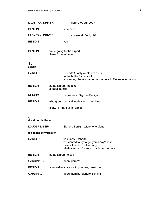| <b>LADY TAXI DRIVER</b> | didn't they call you?                                                                                                     |  |
|-------------------------|---------------------------------------------------------------------------------------------------------------------------|--|
| <b>BENIGNI</b>          | sure sure.                                                                                                                |  |
| <b>LADY TAXI DRIVER</b> | you are Mr Benigni?!                                                                                                      |  |
| <b>BENIGNI</b>          | yes.                                                                                                                      |  |
| <b>BENIGNI</b>          | we're going to the airport.<br>there I'll be informed :                                                                   |  |
| 5.<br>airport           |                                                                                                                           |  |
| <b>DARIO FO</b>         | Roberto!! I only wanted to drink<br>to the birth of your son!<br>you know, I have a performance here in Florence tomorrow |  |
| <b>BENIGNI</b>          | at the airport - nothing.<br>a papal nuncio,                                                                              |  |
| <b>NUNCIO</b>           | buona sera, Signore Benigni!                                                                                              |  |
| <b>BENIGNI</b>          | who greets me and leads me to the plane.                                                                                  |  |
|                         | okay. I'll find out in Rome:                                                                                              |  |
| 6.                      |                                                                                                                           |  |

**the airport in Rome.**

| LOUDSPEAKER | Signore Benigni telefono telefono! |
|-------------|------------------------------------|
|-------------|------------------------------------|

#### **telephone conversation**

| DARIO FO | you know, Roberto,                         |
|----------|--------------------------------------------|
|          | we wanted to try to get you a day's rest   |
|          | before the birth of the baby!              |
|          | Maria says you're so excitable, so nervous |
|          |                                            |

- BENIGNI at the airport no call.
- CARDINAL 2 buon giorno!!
- BENIGNI two cardinals are waiting for me, greet me.
- CARDINAL 1 good morning Signore Benigni!!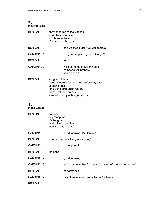#### 7. **in a limousine**

| <b>BENIGNI</b>    | they bring me to the Vatican<br>in a black limousine.<br>it's three in the morning.<br>I'm tired and hungry.                                                                        |
|-------------------|-------------------------------------------------------------------------------------------------------------------------------------------------------------------------------------|
| <b>BENIGNI</b>    | can we stop quickly at Mcdonalds?!                                                                                                                                                  |
| <b>CARDINAL 1</b> | are you hungry, Signore Benigni?!                                                                                                                                                   |
| <b>BENIGNI</b>    | very.                                                                                                                                                                               |
| CARDINAL 2        | we'll be home in two minutes.<br>someone will prepare<br>you a snack!                                                                                                               |
| <b>BENIGNI</b>    | oh good, I think.<br>I see a monk's fasting-meal before my eyes.<br>a bowl of rice.<br>or a thin communion wafer.<br>with a ketchup crucifix<br>carved on it by a thin goose quill. |

# 8.

**in the Vatican**

| <b>BENIGNI</b>    | Vatican.<br>big reception.<br>Swiss guards.<br>and thirteen cardinals.<br>now? at this hour? |
|-------------------|----------------------------------------------------------------------------------------------|
| <b>CARDINAL 3</b> | good morning, Mr Benigni!                                                                    |
| <b>BENIGNI</b>    | in a minute they'll sing me a song!                                                          |
| <b>CARDINAL 4</b> | buon giorno!                                                                                 |
| <b>BENIGNI</b>    | no song.                                                                                     |
| <b>CARDINAL 4</b> | good morning!                                                                                |
| <b>CARDINAL 3</b> | we're responsable for the preparation of your performance!                                   |
| <b>BENIGNI</b>    | performance?                                                                                 |
| <b>CARDINAL 4</b> | hasn't anyone told you why you're here?                                                      |
| <b>BENIGNI</b>    | no.                                                                                          |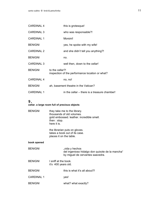| <b>CARDINAL 4</b> | this is grotesque!                                                 |
|-------------------|--------------------------------------------------------------------|
| <b>CARDINAL 3</b> | who was responsable?!                                              |
| <b>CARDINAL 1</b> | <b>Morsini!</b>                                                    |
| <b>BENIGNI</b>    | yes, he spoke with my wife!                                        |
| <b>CARDINAL 2</b> | and she didn't tell you anything?!                                 |
| <b>BENIGNI</b>    | no.                                                                |
| <b>CARDINAL 3</b> | well then, down to the cellar!                                     |
| <b>BENIGNI</b>    | to the cellar?!<br>inspection of the performance location or what? |
| <b>CARDINAL 4</b> | no, no!                                                            |
| <b>BENIGNI</b>    | ah, basement theatre in the Vatican?                               |
| <b>CARDINAL 1</b> | in the cellar – there is a treasure chamber!                       |

# **cellar. a large room full of precious objects**

| <b>BENIGNI</b>    | then $: stop.$<br>here it is.               | they take me to the library.<br>thousands of old volumes.<br>gold embossed. leather. incredible smell. |
|-------------------|---------------------------------------------|--------------------------------------------------------------------------------------------------------|
|                   | places it on the table.                     | the librarian puts on gloves.<br>takes a book out of its case.                                         |
| book opened       |                                             |                                                                                                        |
| <b>BENIGNI</b>    |                                             | "vida y hechos<br>del ingenioso hidalgo don quixote de la mancha"<br>by miguel de cervantes saavedra.  |
| <b>BENIGNI</b>    | I sniff at the book.<br>it's 400 years old. |                                                                                                        |
| <b>BENIGNI</b>    |                                             | this is what it's all about?!                                                                          |
| <b>CARDINAL 1</b> |                                             | yes!                                                                                                   |
| <b>BENIGNI</b>    |                                             | what? what exactly?                                                                                    |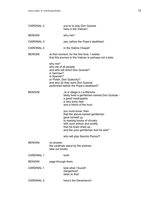|                                                               | you're to play Don Quixote<br>here in the Vatican!                                                                                                                                                              |
|---------------------------------------------------------------|-----------------------------------------------------------------------------------------------------------------------------------------------------------------------------------------------------------------|
|                                                               | who me?                                                                                                                                                                                                         |
|                                                               | yes, before the Pope's deathbed.                                                                                                                                                                                |
|                                                               | in the Sistine Chapel!                                                                                                                                                                                          |
|                                                               | at that moment, for the first time, I realise<br>that this journey to the Vatican is perhaps not a joke.                                                                                                        |
| why me?<br>why me of all people.<br>in German?<br>in Spanish? | and who will direct Don Quixote?<br>or Polish. Don Quikocky?<br>and why do they want Don Quixote<br>performed before the Pope's deathbed?                                                                       |
|                                                               | "In a village in La Mancha<br>lately lived a gentleman named Don Quixote -<br>a great madrugador<br>a very early riser<br>and a friend of the hunt.                                                             |
|                                                               | you must know, then<br>that the above-named gentleman<br>gave himself up<br>to reading books of chivalry<br>with such ardour and avidity<br>that his brain dried up -<br>and the poor gentleman lost his wits!" |
| no answer.<br>take out books.                                 | who will play Sancho Panza?!<br>the cardinals stand by the shelves.                                                                                                                                             |
|                                                               | look!                                                                                                                                                                                                           |
| page through them.                                            |                                                                                                                                                                                                                 |
|                                                               | look what I found!!<br>Gargantua!!<br>listen to this!                                                                                                                                                           |
|                                                               | here's the Decameron!                                                                                                                                                                                           |
|                                                               |                                                                                                                                                                                                                 |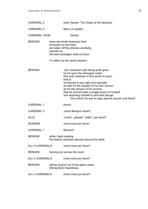| <b>CARDINAL 3</b>      |                                                                        | look! Darwin: The Origin of the Species!                                                                                                                                                                                                                                                                                                                                                                           |  |
|------------------------|------------------------------------------------------------------------|--------------------------------------------------------------------------------------------------------------------------------------------------------------------------------------------------------------------------------------------------------------------------------------------------------------------------------------------------------------------------------------------------------------------|--|
| <b>CARDINAL 4</b>      |                                                                        | Marx: el capital!                                                                                                                                                                                                                                                                                                                                                                                                  |  |
| <b>CARDINAL JOHN</b>   |                                                                        | Dante!                                                                                                                                                                                                                                                                                                                                                                                                             |  |
| <b>BENIGNI</b>         | opened up.                                                             | there are world treasures here.<br>all books on the index<br>are taken off the shelves excitedly.<br>the best passages read out loud.<br>I'm taken by the same passion.                                                                                                                                                                                                                                            |  |
| <b>BENIGNI</b>         |                                                                        | "Don Quixote's wits being quite gone<br>he hit upon the strangest notion<br>that ever madman in this world hit upon,<br>that is:<br>he fancied it was right and requisite<br>as well for the support of his own honour<br>as for the service of his country,<br>that he should make a knight-errant of himself,<br>and exposing himself to peril and danger<br>from which he was to reap eternal renown and fame!" |  |
| <b>CARDINAL 1</b>      |                                                                        | bravo!                                                                                                                                                                                                                                                                                                                                                                                                             |  |
| <b>CARDINAL 2</b>      |                                                                        | "more Benigni! more!!"                                                                                                                                                                                                                                                                                                                                                                                             |  |
| <b>ALLE</b>            |                                                                        | "more!" "please!" "bitte!" "por favor!"                                                                                                                                                                                                                                                                                                                                                                            |  |
| <b>MORSINI</b>         |                                                                        | more more por favor!                                                                                                                                                                                                                                                                                                                                                                                               |  |
| <b>CARDINAL 1</b>      |                                                                        | Morsini!!                                                                                                                                                                                                                                                                                                                                                                                                          |  |
| <b>BENIGNI</b>         | while I kept reading,<br>the twelve cardinals danced around the table. |                                                                                                                                                                                                                                                                                                                                                                                                                    |  |
| <b>ALL 4 CARDINALS</b> |                                                                        | more more por favor!!                                                                                                                                                                                                                                                                                                                                                                                              |  |
| <b>BENIGNI</b>         | fanning out across the room.                                           |                                                                                                                                                                                                                                                                                                                                                                                                                    |  |
| <b>ALL 4 CARDINALS</b> |                                                                        | more more por favor!!                                                                                                                                                                                                                                                                                                                                                                                              |  |
| <b>BENIGNI</b>         |                                                                        | taking crowns out of the glass cases.<br>Sitting Bull's headdress.                                                                                                                                                                                                                                                                                                                                                 |  |
| ALL 4 CARDINALS        |                                                                        | more more por favor!!                                                                                                                                                                                                                                                                                                                                                                                              |  |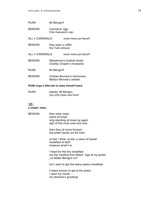| <b>RUINI</b>           | Mr Benigni!!                             |                                                            |
|------------------------|------------------------------------------|------------------------------------------------------------|
| <b>BENIGNI</b>         | Columbus' egg.<br>Che Guevara's cap.     |                                                            |
| ALL 4 CARDINALS        |                                          | more more por favor!!                                      |
| <b>BENIGNI</b>         | they open a coffer.<br>the Turin shroud. |                                                            |
| <b>ALL 4 CARDINALS</b> |                                          | more more por favor!!                                      |
| <b>BENIGNI</b>         |                                          | Maradonna's football shoes.<br>Charley Chaplin's mustache. |
| <b>RUINI</b>           | Mr Benigni!!                             |                                                            |
| <b>BENIGNI</b>         |                                          | Charles Bronson's harmonica.<br>Marilyn Monroe's ukelele.  |
|                        |                                          |                                                            |

# **RUINI rings a little bell to make himself heard.**

| <b>RUINI</b> | please, Mr Benigni,     |
|--------------|-------------------------|
|              | you only have one hour! |

# 10.

**a chapel. mass.**

| <b>BENIGNI</b> | then early mass.<br>stand sit kneel.<br>sing standing sit kneel up again<br>sign of the cross over and over.  |
|----------------|---------------------------------------------------------------------------------------------------------------|
|                | then they all move forward.<br>the priest hands out the host.                                                 |
|                | at last, I think, at last, a piece of bread!<br>breakfast at last!!<br>however small it is.                   |
|                | I head for this tiny breakfast.<br>but the Cardinal from Miami tugs at my jacket.<br>"no Mister Benigni! no!" |
|                | but I want to get this teeny weeny breakfast.                                                                 |
|                | it takes forever to get to the priest,<br>l open my mouth<br>my stomach's growling!                           |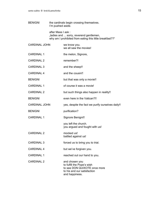| <b>BENIGNI</b>       | the cardinals begin crossing themselves.<br>I'm pushed aside. |                                                                                                                               |
|----------------------|---------------------------------------------------------------|-------------------------------------------------------------------------------------------------------------------------------|
|                      | after Mass I ask:                                             | "ladies and  sorry, reverend gentlemen,<br>why am I prohibited from eating this little breakfast??"                           |
| <b>CARDINAL JOHN</b> |                                                               | we know you.<br>we all saw the movies!                                                                                        |
| <b>CARDINAL 1</b>    |                                                               | the melon, Signore,                                                                                                           |
| <b>CARDINAL 2</b>    |                                                               | remember?!                                                                                                                    |
| <b>CARDINAL 3</b>    |                                                               | and the sheep!!                                                                                                               |
| <b>CARDINAL 4</b>    |                                                               | and the cousin!!                                                                                                              |
| <b>BENIGNI</b>       |                                                               | but that was only a movie!!                                                                                                   |
| <b>CARDINAL 1</b>    |                                                               | of course it was a movie!                                                                                                     |
| <b>CARDINAL 2</b>    |                                                               | but such things also happen in reality!!                                                                                      |
| <b>BENIGNI</b>       |                                                               | even here in the Vatican?!!                                                                                                   |
| <b>CARDINAL JOHN</b> |                                                               | yes, despite the fact we purify ourselves daily!!                                                                             |
| <b>BENIGNI</b>       |                                                               | purification?                                                                                                                 |
| <b>CARDINAL 1</b>    |                                                               | Signore Benigni!!                                                                                                             |
|                      |                                                               | you left the church.<br>you argued and fought with us!                                                                        |
| <b>CARDINAL 2</b>    |                                                               | mocked us!<br>battled against us!                                                                                             |
| <b>CARDINAL 3</b>    |                                                               | forced us to bring you to trial.                                                                                              |
| <b>CARDINAL 4</b>    |                                                               | but we've forgiven you.                                                                                                       |
| <b>CARDINAL 1</b>    |                                                               | reached out our hand to you.                                                                                                  |
| <b>CARDINAL 2</b>    |                                                               | and chosen you<br>to fulfill the Pope's wish<br>to see DON QUIXOTE once more<br>to his and our satisfaction<br>and happiness. |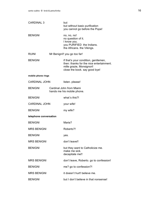| <b>CARDINAL 3</b>      |  | but<br>but without basic purification<br>you cannot go before the Pope!                                                                        |
|------------------------|--|------------------------------------------------------------------------------------------------------------------------------------------------|
| <b>BENIGNI</b>         |  | no, no, no!<br>no question of it.<br>I know you.<br>you PURIFIED the Indians.<br>the Africans. the Vikings.                                    |
| <b>RUINI</b>           |  | Mr Benigni!! you go too far!                                                                                                                   |
| <b>BENIGNI</b>         |  | if that's your condition, gentlemen,<br>then: thanks for the nice entertainment.<br>mille grazie, Monsignori!<br>close the book. say good bye! |
| mobile phone rings     |  |                                                                                                                                                |
| <b>CARDINAL JOHN</b>   |  | listen. please!                                                                                                                                |
| <b>BENIGNI</b>         |  | Cardinal John from Miami<br>hands me his mobile phone.                                                                                         |
| <b>BENIGNI</b>         |  | what's this?!                                                                                                                                  |
| <b>CARDINAL JOHN</b>   |  | your wife!                                                                                                                                     |
| <b>BENIGNI</b>         |  | my wife?                                                                                                                                       |
| telephone conversation |  |                                                                                                                                                |
| <b>BENIGNI</b>         |  | Maria?                                                                                                                                         |
| <b>MRS BENIGNI</b>     |  | Roberto?!                                                                                                                                      |
| <b>BENIGNI</b>         |  | ves.                                                                                                                                           |
| <b>MRS BENIGNI</b>     |  | don't leave!!                                                                                                                                  |
| <b>BENIGNI</b>         |  | but they want to Catholicize me.<br>make me sick.<br>decapitate me!!                                                                           |
| <b>MRS BENIGNI</b>     |  | don't leave, Roberto. go to confession!                                                                                                        |
| <b>BENIGNI</b>         |  | me? go to confession?!                                                                                                                         |
| <b>MRS BENIGNI</b>     |  | it doesn't hurt! believe me.                                                                                                                   |
| <b>BENIGNI</b>         |  | but I don't believe in that nonsense!                                                                                                          |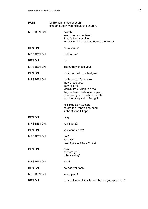| <b>RUINI</b>       | Mr Benigni, that's enough!<br>time and again you ridicule the church.                                                                                                                             |  |
|--------------------|---------------------------------------------------------------------------------------------------------------------------------------------------------------------------------------------------|--|
| <b>MRS BENIGNI</b> | exactly.<br>even you can confess!<br>if that's their condition<br>for playing Don Quixote before the Pope!                                                                                        |  |
| <b>BENIGNI</b>     | not a chance.                                                                                                                                                                                     |  |
| <b>MRS BENIGNI</b> | do it for me!                                                                                                                                                                                     |  |
| <b>BENIGNI</b>     | no.                                                                                                                                                                                               |  |
| <b>MRS BENIGNI</b> | listen, they chose you!                                                                                                                                                                           |  |
| <b>BENIGNI</b>     | no, it's all just  a bad joke!                                                                                                                                                                    |  |
| <b>MRS BENIGNI</b> | no Roberto, it's no joke.<br>they chose you.<br>they told me<br>Morsini from Milan told me<br>they've been casting for a year,<br>considering hundreds of people.<br>and then they said: Benigni! |  |
|                    | he'll play Don Quixote.<br>before the Pope's deathbed!<br>in the Sistine Chapel!                                                                                                                  |  |
| <b>BENIGNI</b>     | okay.                                                                                                                                                                                             |  |
| <b>MRS BENIGNI</b> | you'll do it?!                                                                                                                                                                                    |  |
| <b>BENIGNI</b>     | you want me to?                                                                                                                                                                                   |  |
| <b>MRS BENIGNI</b> | me?<br>yes, yes!<br>I want you to play the role!                                                                                                                                                  |  |
| <b>BENIGNI</b>     | okay.<br>how are you?<br>is he moving?                                                                                                                                                            |  |
| <b>MRS BENIGNI</b> | who?                                                                                                                                                                                              |  |
| <b>BENIGNI</b>     | my son your son.                                                                                                                                                                                  |  |
| <b>MRS BENIGNI</b> | yeah, yeah!                                                                                                                                                                                       |  |
| <b>BENIGNI</b>     | but you'll wait till this is over before you give birth?!                                                                                                                                         |  |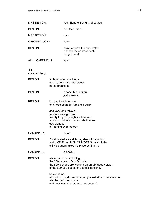| <b>MRS BENIGNI</b>   | yes, Signore Benigni! of course!                                               |
|----------------------|--------------------------------------------------------------------------------|
| <b>BENIGNI</b>       | well then, ciao.                                                               |
| <b>MRS BENIGNI</b>   | ciao!                                                                          |
| <b>CARDINAL JOHN</b> | yeah!                                                                          |
| <b>BENIGNI</b>       | okay. where's the holy water?<br>where's the confessional?!<br>bring it here!! |
| ALL 4 CARDINALS      | yeah!                                                                          |

**a sparse study.**

| <b>BENIGNI</b>    | an hour later I'm sitting -<br>no, no, not in a confessional<br>nor at breakfast!!                                                                                             |
|-------------------|--------------------------------------------------------------------------------------------------------------------------------------------------------------------------------|
| <b>BENIGNI</b>    | please, Monsignori!<br>just a snack !!                                                                                                                                         |
| <b>BENIGNI</b>    | instead they bring me<br>to a large sparsely furnished study.                                                                                                                  |
|                   | at a very long table sit<br>two four six eight ten<br>twenty forty sixty eighty a hundred<br>two hundred four hundred six hundred<br>600 bishops.<br>all leaning over laptops. |
| <b>CARDINAL 1</b> | quiet!!                                                                                                                                                                        |
| <b>BENIGNI</b>    | I'm allocated a small table, also with a laptop<br>and a CD-Rom : DON QUIXOTE Spanish-Italien.<br>a Swiss guard takes his place behind me.                                     |
| <b>CARDINAL 2</b> | silencio!!                                                                                                                                                                     |
| <b>BENIGNI</b>    | while I work on abridging<br>the 600 pages of Don Quixote,<br>the 600 bishops are working on an abridged version<br>of the 600.000 pages of Catholic doctrine.                 |
|                   | basic theme:<br>with which ritual does one purify a lost sinful obscene son,<br>who has left the church<br>and now wants to return to her bosom?!                              |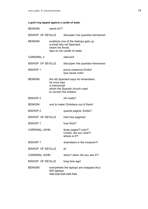# **a gold ring tapped against a carafe of water**

| <b>BENIGNI</b>           | wants to??                  |                                                                                                    |
|--------------------------|-----------------------------|----------------------------------------------------------------------------------------------------|
| <b>BISHOP OF SEVILLE</b> |                             | disculpen mis queridos hermanos!                                                                   |
| <b>BENIGNI</b>           | clears his throat.          | suddenly one of the bishops gets up.<br>a small wiry old Spaniard.<br>taps on his carafe of water. |
| <b>CARDINAL 2</b>        |                             | silencio!!                                                                                         |
| <b>BISHOP OF SEVILLE</b> |                             | disculpen mis queridos hermanos!                                                                   |
| <b>BISHOP 1</b>          |                             | porca madonna Emilio!<br>que causa volio!                                                          |
| <b>BENIGNI</b>           | he once saw<br>a manuscript | the old Spaniard says he remembers<br>which the Spanish church used<br>to convert the Indians.     |
| <b>BISHOP 2</b>          |                             | oh! really?                                                                                        |
| <b>BENIGNI</b>           |                             | and to make Christians out of them!                                                                |
| <b>BISHOP 2</b>          |                             | quante pagine, Emilio?                                                                             |
| <b>BISHOP OF SEVILLE</b> |                             | tres! tres paginas!                                                                                |
| <b>BISHOP 1</b>          |                             | how thick?                                                                                         |
| <b>CARDINAL JOHN</b>     |                             | three pages?! only?!<br>Cortes, are you sure?!<br>where is it?!                                    |
| <b>BISHOP 1</b>          |                             | downstairs in the museum?!                                                                         |
| <b>BISHOP OF SEVILLE</b> |                             | si!                                                                                                |
| <b>CARDINAL JOHN</b>     |                             | when? when did you see it?!                                                                        |
| <b>BISHOP OF SEVILLE</b> |                             | long time ago!                                                                                     |
| <b>BENIGNI</b>           | 600 laptops.                | everywhere the laptops are snapped shut.<br>klak.klak.klak.klak.klak.                              |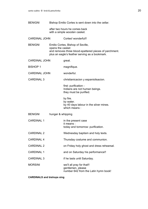| <b>BENIGNI</b>       |                   | Bishop Emilio Cortes is sent down into the cellar.                                                                                            |
|----------------------|-------------------|-----------------------------------------------------------------------------------------------------------------------------------------------|
|                      |                   | after two hours he comes back<br>with a simple wooden casket.                                                                                 |
| <b>CARDINAL JOHN</b> |                   | Cortes! wonderful!!                                                                                                                           |
| <b>BENIGNI</b>       | opens the casket  | Emilio Cortes, Bishop of Seville,<br>and removes three blood-spattered pieces of parchment.<br>plus an eagle's feather serving as a bookmark. |
| <b>CARDINAL JOHN</b> |                   | great.                                                                                                                                        |
| <b>BISHOP 1</b>      |                   | magnifique.                                                                                                                                   |
| <b>CARDINAL JOHN</b> |                   | wonderful.                                                                                                                                    |
| <b>CARDINAL 3</b>    |                   | christianicacion y espaniolisacion.                                                                                                           |
|                      |                   | first: purification -<br>Indians are not human beings.<br>they must be purified.                                                              |
|                      |                   | by fire.<br>by water.<br>by 40 days labour in the silver mines.<br>which means:                                                               |
| <b>BENIGNI</b>       | hunger & whipping |                                                                                                                                               |
| <b>CARDINAL 1</b>    |                   | in the present case<br>it means:<br>today and tomorrow: purification.                                                                         |
| <b>CARDINAL 2</b>    |                   | Wednesday baptism and holy texts.                                                                                                             |
| <b>CARDINAL 4</b>    |                   | Thursday costume and communion.                                                                                                               |
| <b>CARDINAL 2</b>    |                   | on Friday holy ghost and dress rehearsal.                                                                                                     |
| <b>CARDINAL 1</b>    |                   | and on Saturday his performance!!                                                                                                             |
| <b>CARDINAL 3</b>    |                   | if he lasts until Saturday.                                                                                                                   |
| <b>MORSINI</b>       |                   | we'll all pray for that!!<br>gentlemen, please<br>number 642 from the Latin hymn book!                                                        |

**CARDINALS and bishops sing**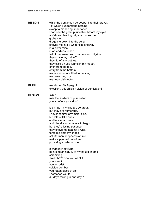| <b>BENIGNI</b> | while the gentlemen go deeper into their prayer,<br>- of which I understand nothing<br>except a menacing undertone! -<br>I can see the great purification before my eyes.<br>a Vatican cleaning brigade rushes me.<br>grabs me.<br>drags me down into the cellar.<br>shoves me into a white-tiled shower.<br>in a silver mine.<br>in an endless desert.<br>full of the skeletons of camels and pilgrims.<br>they shave my hair off.<br>they rip off my clothes.<br>they stick a huge funnel in my mouth.<br>entry from the top.<br>entry from the bottom.<br>my intestines are filled to bursting.<br>my brain rung dry.<br>my heart disinfected. |
|----------------|---------------------------------------------------------------------------------------------------------------------------------------------------------------------------------------------------------------------------------------------------------------------------------------------------------------------------------------------------------------------------------------------------------------------------------------------------------------------------------------------------------------------------------------------------------------------------------------------------------------------------------------------------|
| <b>RUINI</b>   | wonderful, Mr Benigni!<br>excellent, this childish vision of purification!                                                                                                                                                                                                                                                                                                                                                                                                                                                                                                                                                                        |
| <b>BENIGNI</b> | "sin‼"<br>roar the soldiers of purification<br>"sin! confess your sins!"                                                                                                                                                                                                                                                                                                                                                                                                                                                                                                                                                                          |
|                | it isn't as if my sins are so great.<br>but they are numerous.<br>I never commit any major sins.<br>but lots of little ones.<br>endless small ones.<br>and I hardly know where to begin.<br>but they're losing patience.<br>they shove me against a wall.<br>force me onto my knees<br>set German shepherds on me.<br>make a pyramid out of me.<br>put a dog's collar on me.                                                                                                                                                                                                                                                                      |
|                | a woman in uniform<br>points meaningfully at my naked shame<br>screaming:<br>"well, that's how you want it<br>you want it<br>you terrorist<br>suicide-bomber<br>you rotten piece of shit<br>I sentence you to<br>40 days fasting in one day!!"                                                                                                                                                                                                                                                                                                                                                                                                    |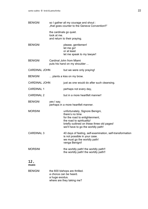| <b>BENIGNI</b>       | so I gather all my courage and shout :<br>"that goes counter to the Geneva Convention!!" |                                                                                                                                                                                                       |
|----------------------|------------------------------------------------------------------------------------------|-------------------------------------------------------------------------------------------------------------------------------------------------------------------------------------------------------|
|                      | look at me.                                                                              | the cardinals go quiet.<br>and return to their praying.                                                                                                                                               |
| <b>BENIGNI</b>       |                                                                                          | please, gentlemen!<br>let me go!<br>or at least<br>let me speak to my lawyer!                                                                                                                         |
| <b>BENIGNI</b>       |                                                                                          | Cardinal John from Miami<br>puts his hand on my shoulder                                                                                                                                              |
| <b>CARDINAL JOHN</b> |                                                                                          | but we were only praying!                                                                                                                                                                             |
| <b>BENIGNI</b>       |                                                                                          | plants a kiss on my brow.                                                                                                                                                                             |
| <b>CARDINAL JOHN</b> |                                                                                          | just as one would do after such cleansing.                                                                                                                                                            |
| <b>CARDINAL 1</b>    |                                                                                          | perhaps not every day,                                                                                                                                                                                |
| <b>CARDINAL 2</b>    |                                                                                          | but in a more heartfelt manner!                                                                                                                                                                       |
| <b>BENIGNI</b>       | yes I say.                                                                               | perhaps in a more heartfelt manner.                                                                                                                                                                   |
| <b>MORSINI</b>       |                                                                                          | unfortunately, Signore Benigni,<br>there's no time<br>for the road to enlightenment,<br>the road to spirituality!<br>briefly outlined on these three old pages!<br>we'll have to go the worldly path! |
| <b>CARDINAL 3</b>    |                                                                                          | 40 days of fasting, self-examination, self-transformation<br>is not possible in your case.<br>we must go the worldly path!<br>venga Benigni!                                                          |
| <b>MORSINI</b>       |                                                                                          | the worldly path! the worldly path!!<br>the worldly path! the worldly path!!                                                                                                                          |
|                      |                                                                                          |                                                                                                                                                                                                       |

#### 12. **music**

BENIGNI the 600 bishops are thrilled. a chorus can be heard. a huge exodus. where are they taking me?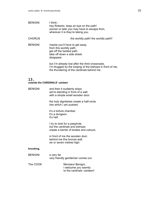| <b>BENIGNI</b> | I think:<br>hey Roberto, keep an eye on the path!<br>sooner or later you may have to escape from,<br>wherever it is they're taking you. |
|----------------|-----------------------------------------------------------------------------------------------------------------------------------------|
| <b>CHORUS</b>  | the worldly path! the worldly path!!                                                                                                    |
| <b>BENIGNI</b> | maybe you'll have to get away<br>from this worldly path.<br>get off the twisted path.<br>take off down a side street.<br>disappear.     |
|                | but I'm already lost after the third crossroads.<br>I'm drugged by the singing of the bishops in front of me,                           |

the thundering of the cardinals behind me.

# 13.

#### **outside the CARDINALS' canteen**

BENIGNI and then it suddenly stops. we're standing in front of a wall. with a simple small wooden door.

> the holy dignitaries create a half-circle. into which I am pushed.

it's a torture chamber. it's a dungeon. it's hell.

I try to look for a peephole. but the cardinals and bishops create a barrier of bodies and colours.

in front of me the wooden door. behind me this bronze wall. six or seven metres high.

#### **knocking.**

| <b>BENIGNI</b> | a very fat<br>very friendly gentleman comes out.                        |
|----------------|-------------------------------------------------------------------------|
| The COOK       | Monsieur Benigni,<br>I welcome you warmly<br>to the cardinals' canteen! |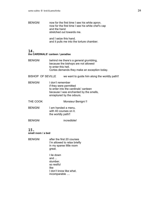BENIGNI now for the first time I see his white apron. now for the first time I see his white chef's cap and the hand stretched out towards me.

> and I seize this hand. and it pulls me into the torture chamber.

# 14.

#### **the CARDINALS' canteen / paradise**

- BENIGNI behind me there's a general grumbling, because the bishops are not allowed to enter this hell. Cortes demands they make an exception today.
- BISHOP OF SEVILLE we want to guide him along the worldly path!!
- BENIGNI I don't remember if they were permitted to enter into the cardinals' canteen because I was enchanted by the smells, enraptured by the odours.
- THE COOK Monsieur Benigni !!
- BENIGNI I am handed a menu. with 40 courses on it. the worldly path!!
- BENIGNI incredibile!

# 15.

**small room / a bed**

- BENIGNI after the first 20 courses I'm allowed to relax briefly in my sparse little room great.
	- I lie down and ... slumber. so restful like I don't know like what. incomparable ....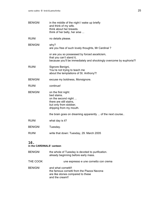| <b>BENIGNI</b> | in the middle of the night I wake up briefly<br>and think of my wife.<br>think about her breasts.<br>think of her belly, her arse                |
|----------------|--------------------------------------------------------------------------------------------------------------------------------------------------|
| <b>RUINI</b>   | no details please.                                                                                                                               |
| <b>BENIGNI</b> | why?<br>are you free of such lovely thoughts, Mr Cardinal?                                                                                       |
|                | or are you so possessed by forced asceticism,<br>that you can't stand it,<br>because you'll be immediately and shockingly overcome by euphoria?! |
| <b>RUINI</b>   | Signore Benigni,<br>You're not trying to teach me<br>about the temptations of St. Anthony?!                                                      |
| <b>BENIGNI</b> | excuse my boldness, Monsignore.                                                                                                                  |
| <b>RUINI</b>   | continue!                                                                                                                                        |
| <b>BENIGNI</b> | on the first night:<br>bed stains.<br>on the second night<br>there are still stains,<br>but only from slobber,<br>dripping from my mouth.        |
|                | the brain goes on dreaming apparently  of the next course                                                                                        |
| <b>RUINI</b>   | what day is it?                                                                                                                                  |
| <b>BENIGNI</b> | Tuesday.                                                                                                                                         |
| <b>RUINI</b>   | write that down: Tuesday, 29. March 2005                                                                                                         |

#### 16. **in the CARDINALS' canteen**

| <b>BENIGNI</b> | the whole of Tuesday is devoted to purification.<br>already beginning before early mass.                                  |
|----------------|---------------------------------------------------------------------------------------------------------------------------|
| THE COOK       | une espresso e une cornetto con crema                                                                                     |
| <b>BENIGNI</b> | and what cornetti!!<br>the famous cornetti from the Piazza Navona<br>are like stones compared to these<br>and the cream!! |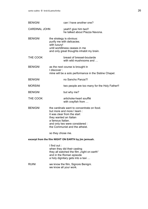| <b>BENIGNI</b>                                       |                                        | can I have another one?                                                                                                                                                                               |
|------------------------------------------------------|----------------------------------------|-------------------------------------------------------------------------------------------------------------------------------------------------------------------------------------------------------|
| <b>CARDINAL JOHN</b>                                 |                                        | yeah!! give him two!!<br>he talked about Piazza Navona.                                                                                                                                               |
| <b>BENIGNI</b>                                       | with luxury!                           | the strategy is obvious:<br>purify me with delicacies.<br>until worldliness ceases in me<br>and only great thoughts inhabit my brain.                                                                 |
| THE COOK                                             |                                        | breast of bresset-boularde<br>with wild mushrooms and                                                                                                                                                 |
| <b>BENIGNI</b>                                       | I discover:                            | as the next course is brought in<br>mine will be a solo performance in the Sistine Chapel.                                                                                                            |
| <b>BENIGNI</b>                                       |                                        | no Sancho Panza?!                                                                                                                                                                                     |
| <b>MORSINI</b>                                       |                                        | two people are too many for the Holy Father!!                                                                                                                                                         |
| <b>BENIGNI</b>                                       |                                        | but why me?                                                                                                                                                                                           |
| THE COOK                                             |                                        | artichoke-heart soufflé<br>with crayfish from                                                                                                                                                         |
| <b>BENIGNI</b>                                       | a famous Italian.<br>so they chose me. | the cardinals want to concentrate on food.<br>but more and more I learn:<br>it was clear from the start<br>they wanted an Italian<br>and only two were considered :<br>the Communist and the atheist. |
| excerpt from the film NIGHT ON EARTH by jim jarmush. |                                        |                                                                                                                                                                                                       |
|                                                      | I find out :                           | when they did their casting<br>they all watched the film "night on earth"<br>and in the Roman episode<br>a holy dignitary gets into a taxi                                                            |
| RUINI                                                |                                        | we know the film, Signore Benigni.<br>we know all your work.                                                                                                                                          |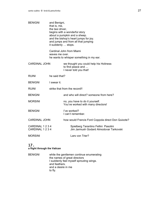| <b>BENIGNI</b>                    | and Benigni,<br>that is, me,<br>the taxi driver,<br>begins with a wonderful story<br>about a pumpkin and a sheep.<br>and the bishop's heart jumps for joy.<br>and jumps and from all that jumping<br>it suddenly  stops. |                                                                                       |
|-----------------------------------|--------------------------------------------------------------------------------------------------------------------------------------------------------------------------------------------------------------------------|---------------------------------------------------------------------------------------|
|                                   | waves me over.                                                                                                                                                                                                           | Cardinal John from Miami<br>he wants to whisper something in my ear.                  |
| <b>CARDINAL JOHN</b>              |                                                                                                                                                                                                                          | we thought you could help his Holiness<br>to find peace and<br>I never told you that! |
| <b>RUINI</b>                      | he said that?                                                                                                                                                                                                            |                                                                                       |
| <b>BENIGNI</b>                    | I swear it.                                                                                                                                                                                                              |                                                                                       |
| <b>RUINI</b>                      |                                                                                                                                                                                                                          | strike that from the record!!                                                         |
| <b>BENIGNI</b>                    |                                                                                                                                                                                                                          | and who will direct? someone from here?                                               |
| <b>MORSINI</b>                    |                                                                                                                                                                                                                          | no, you have to do it yourself.<br>You've worked with many directors!                 |
| <b>BENIGNI</b>                    |                                                                                                                                                                                                                          | I've worked?<br>I can't remember.                                                     |
| <b>CARDINAL JOHN</b>              |                                                                                                                                                                                                                          | how would Francis Ford Coppola direct Don Quixote?                                    |
| CARDINAL 1 2 3 4<br>CARDINAL 1234 |                                                                                                                                                                                                                          | Spielberg Tarantino Fellini Pasolini<br>Jim Jarmush Godard Almodovar Tarkovski        |
| <b>MORSINI</b>                    |                                                                                                                                                                                                                          | Lars von Trier?                                                                       |

#### **a flight through the Vatican**

BENIGNI while the gentlemen continue enumerating the names of great directors I suddenly feel myself sprouting wings. and feathers. and a desire in me to fly.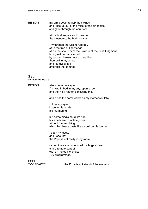BENIGNI my arms begin to flap their wings. and I rise up out of the midst of the cineastes. and glide through the corridors.

> with a bird's-eye view I observe the museums, the bath-houses.

I fly through the Sistine Chapel. sit in the tree of knowledge. sit on the shoulder of the Saviour at the Last Judgment. let myself be transported by a storm blowing out of paradise. then pull in my wings and let myself fall amongst the damned.

#### 18. **a small room / a tv**

BENIGNI when I open my eyes, I'm lying in bed in my tiny, sparse room and the Holy Father is blessing me.

and it has the same effect as my mother's lullaby.

I close my eyes. listen to his words. his murmuring.

but something's not quite right. his words are completely clear without the trembling which his illness casts like a spell on his tongue.

I open my eyes. and I see that the Pope is not really in my room.

rather, there's a huge tv, with a huge screen. and a remote control. with an incredible choice. 100 programmes.

POPE &<br>TV-SPEAKER

..the Pope is not afraid of the workers!"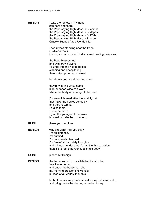| <b>BENIGNI</b> | I take the remote in my hand.<br>zap here and there.<br>the Pope saying High Mass in Bucarest.<br>the Pope saying High Mass in Budapest.<br>the Pope saying High Mass in St. Pölten.<br>the Pope saying High Mass in Prague.<br>Cracow Buenos Aires Rio Manilla. |
|----------------|------------------------------------------------------------------------------------------------------------------------------------------------------------------------------------------------------------------------------------------------------------------|
|                | I see myself standing near the Pope.<br>in silver armour.<br>it's hot, and a thousand Indians are kneeling before us.                                                                                                                                            |
|                | the Pope blesses me.<br>and with drawn sword<br>I plunge into the naked bodies.<br>stabbing and decapitating.<br>then wake up bathed in sweat.                                                                                                                   |
|                | beside my bed are sitting two nuns.                                                                                                                                                                                                                              |
|                | they're wearing white habits.<br>high-buttoned wide sackcloth,<br>where the body is no longer to be seen.                                                                                                                                                        |
|                | I'm so enlightened after the worldly path<br>that I take the bodies seriously.<br>and they're terrific.<br>I praise them.<br>I become erect.<br>I grab the younger of the two $-$<br>how old can she be  under                                                   |
| <b>RUINI</b>   | thank you. continue.                                                                                                                                                                                                                                             |
| <b>BENIGNI</b> | why shouldn't I tell you this?<br>I'm enlightened.<br>I'm purified.<br>I'm completely cleansed.<br>I'm free of all bad, dirty thoughts<br>and if I reach under a nun's habit in this condition<br>then it's to feel that young, splendid body!                   |
| <b>RUINI</b>   | please Mr Benigni!                                                                                                                                                                                                                                               |
| <b>BENIGNI</b> | the two nuns hold up a white baptismal robe.<br>toss it over to me.<br>and under the baptismal robe<br>my morning erection shows itself,<br>purified of all worldly thoughts.                                                                                    |
|                | both of them – very professional - spay baldrian on it<br>and bring me to the chapel, in the baptistery.                                                                                                                                                         |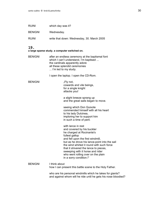| <b>RUINI</b>   | which day was it?                          |
|----------------|--------------------------------------------|
| <b>BENIGNI</b> | Wednesday.                                 |
| RUINI          | write that down: Wednesday, 30. March 2005 |

**a large sparse study. a computer switched on.** 

BENIGNI after an endless ceremony at the baptismal font which I can't understand. I'm baptised ... the cardinals apparently adore all these splendid ceremonies ... I'm led to my study.

I open the laptop. I open the CD-Rom.

BENIGNI "Fly not. cowards and vile beings, for a single knight attacks you!

> a slight breeze sprang up and the great sails began to move.

seeing which Don Quixote commended himself with all his heart to his lady Dulcinea, imploring her to support him in such a time of peril.

with lance in rest and covered by his buckler he charged at Rocinante's fullest gallop and fell upon the first windmill, but as he drove his lance-point into the sail the wind whirled it round with such force that it shivered the lance to pieces, sweeping with it horse and rider who went rolling over on the plain in a sorry condition.!"

BENIGNI I think about how I can present this battle scene to the Holy Father.

> who are his personal windmills which he takes for giants? and against whom will he ride until he gets his nose bloodied?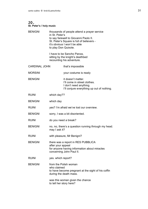#### **St. Peter's / holy music**

| <b>BENIGNI</b><br>in St. Peter's<br>to play Don Quixote. |                                                                | thousands of people attend a prayer service<br>to say farewell to Giovanni Paolo II.<br>St. Peter's Square is full of believers -<br>it's obvious I won't be able |
|----------------------------------------------------------|----------------------------------------------------------------|-------------------------------------------------------------------------------------------------------------------------------------------------------------------|
|                                                          |                                                                | I have to be Sancho Panza,<br>sitting by the knight's deathbed<br>recounting his adventure.                                                                       |
| <b>CARDINAL JOHN</b>                                     |                                                                | that's impossible                                                                                                                                                 |
| <b>MORSINI</b>                                           |                                                                | your costume is ready                                                                                                                                             |
| <b>BENIGNI</b>                                           |                                                                | it doesn't matter.<br>I'll come in street clothes.<br>I don't need anything.<br>I'll conjure everything up out of nothing.                                        |
| <b>RUINI</b>                                             | which day??                                                    |                                                                                                                                                                   |
| <b>BENIGNI</b>                                           | which day                                                      |                                                                                                                                                                   |
| <b>RUINI</b>                                             |                                                                | yes? I'm afraid we've lost our overview.                                                                                                                          |
| <b>BENIGNI</b>                                           |                                                                | sorry, I was a bit disoriented.                                                                                                                                   |
| <b>RUINI</b>                                             | do you need a break?                                           |                                                                                                                                                                   |
| <b>BENIGNI</b>                                           | may I ask it?                                                  | no, no, there's a question running through my head.                                                                                                               |
| <b>RUINI</b>                                             |                                                                | with pleasure, Mr Benigni?                                                                                                                                        |
| <b>BENIGNI</b>                                           | after your appeal                                              | there was a report in RES PUBBLICA<br>for anyone having information about miracles<br>concerning John Paul II.                                                    |
| <b>RUINI</b>                                             | yes. which report?                                             |                                                                                                                                                                   |
| <b>BENIGNI</b>                                           | from the Polish woman<br>who claimed<br>during the death mass. | to have become pregnant at the sight of his coffin                                                                                                                |
|                                                          | to tell her story here?                                        | was this woman given the chance                                                                                                                                   |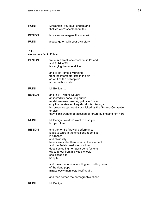| <b>RUINI</b>   | Mr Benigni, you must understand<br>that we won't speak about this. |  |
|----------------|--------------------------------------------------------------------|--|
| <b>BENIGNI</b> | how can we imagine this scene?                                     |  |
| <b>RUINI</b>   | please go on with your own story.                                  |  |

**a one-room flat in Poland** 

| <b>BENIGNI</b> | we're in a small one-room flat in Poland.                                                                                                                                                                                                                                                                             |
|----------------|-----------------------------------------------------------------------------------------------------------------------------------------------------------------------------------------------------------------------------------------------------------------------------------------------------------------------|
|                | and Polskie TV<br>is carrying the funeral live.                                                                                                                                                                                                                                                                       |
|                | and all of Rome is vibrating<br>from the interceptor jets in the air<br>as well as the helicopters<br>armed with rockets.                                                                                                                                                                                             |
| RUINI          | Mr Benigni                                                                                                                                                                                                                                                                                                            |
| <b>BENIGNI</b> | and in St. Peter's Square<br>an incredibly honouring public.<br>mortal enemies crossing paths in Rome.<br>only the imprisoned Iraqi dictator is missing -<br>his presence apparently prohibited by the Geneva Convention<br>or else<br>they didn't want to be accused of torture by bringing him here.                |
| RUINI          | Mr Benigni, we don't want to rush you,<br>but your time                                                                                                                                                                                                                                                               |
| <b>BENIGNI</b> | and the terrific farewell performance<br>leads to tears in the small one-room flat<br>in Cracow.<br>and obviously<br>hearts are softer than usual at this moment<br>and the Polish busdriver or miner<br>does something he hasn't done for long :<br>wipes a tear from his wife's cheek.<br>she kisses him<br>happily |
|                | and the enormous reconciling and uniting power<br>of the dead pope<br>miraculously manifests itself again.                                                                                                                                                                                                            |
|                | and then comes the pornographic phase                                                                                                                                                                                                                                                                                 |
| RUINI          | Mr Benigni!                                                                                                                                                                                                                                                                                                           |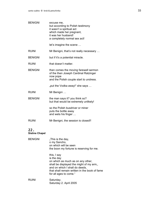BENIGNI excuse me, but according to Polish testimony it wasn't a spiritual act which made her pregnant, it was her husband! a completely normal sex act! let's imagine the scene … RUINI Mr Benigni, that's not really necessary ... BENIGNI but if it's a potential miracle. RUINI that doesn't matter. BENIGNI then comes the moving farewell sermon of the then Joseph Cardinal Ratzinger now pope and the Polish couple start to undress. "put the Vodka away!" she says ... RUINI Mr Benigni ... BENIGNI the man says it? you think so? but that would be extremely unlikely! so the Polish busdriver or miner puts the bottle away and wets his finger … RUINI Mr Benigni, the session is closed!! 22. **Sistine Chapel**  BENIGNI "This is the day, o my Sancho, on which will be seen the boon my fortune is reserving for me. this, I say is the day on which as much as on any other, shall be displayed the might of my arm,, and on which I shall do deeds, that shall remain written in the book of fame for all ages to come." RUINI Saturday. Saturday 2. April 2005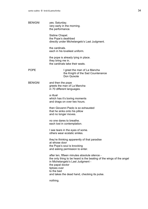| <b>BENIGNI</b> | yes. Saturday.<br>very early in the morning.<br>the performance. |
|----------------|------------------------------------------------------------------|
|                |                                                                  |

Sistine Chapel. the Pope's deathbed directly under Michelangelo's Last Judgment.

the cardinals. each in his loveliest uniform.

the pope is already lying in place. they bring me in. the cardinals take their seats.

POPE I greet the man of La Mancha the Knight of the Sad Countenance Don Quixote

BENIGNI and then the pope greets the man of La Mancha in 70 different languages.

> a ritual which has it's boring moments and drags on over two hours.

then Giovanni Paolo is so exhausted that he sinks onto his pillow and no longer moves.

no one dares to breathe. each lost in contemplation.

I see tears in the eyes of some. others wear ecstatic smiles.

they're thinking apparently of that paradise at whose door the Pope's soul is knocking and asking permission to enter.

after ten, fifteen minutes absolute silence the only thing to be heard is the beating of the wings of the angel in Michelangelo's Last Judgment the papal doctor tiptoes over to the bed and takes the dead hand, checking its pulse.

nothing.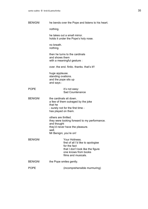nothing.

he takes out a small mirror. holds it under the Pope's holy nose.

no breath. nothing.

then he turns to the cardinals and shows them with a meaningful gesture :

over. the end. finito. thanks. that's it!!

huge applause. standing ovations. and the pope sits up and says :

### POPE it's not easy: Sad Countenance

BENIGNI the cardinals sit down. a few of them outraged by the joke that he - surely not for the first time has played on them.

> others are thrilled. they were looking forward to my performance. and thought they'd never have the pleasure. well. Mr Benigni, you're on!

- BENIGNI Your Holiness. first of all I'd like to apologise for the fact that I don't look like the figure one knows from books films and musicals.
- BENIGNI the Pope smiles gently.

POPE (incomprehensible murmuring)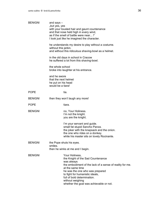| <b>BENIGNI</b> | and says $-$<br>"but yes, yes<br>with your tousled hair and gaunt countenance<br>and that nose held high in every wind,<br>as if the smell of battle were near!"<br>I look just like he imagined the character.                                                                                                       |  |
|----------------|-----------------------------------------------------------------------------------------------------------------------------------------------------------------------------------------------------------------------------------------------------------------------------------------------------------------------|--|
|                | he understands my desire to play without a costume.<br>without this jerkin.<br>and without this ridiculous shaving-bowl as a helmet.                                                                                                                                                                                  |  |
|                | in the old days in school in Cracow<br>he suffered a lot from this shaving-bowl.                                                                                                                                                                                                                                      |  |
|                | the whole school<br>broke into laughter at his entrance.                                                                                                                                                                                                                                                              |  |
|                | and he swore<br>that the next helmet<br>he put on his head<br>would be a tiara!                                                                                                                                                                                                                                       |  |
| <b>POPE</b>    | tia.                                                                                                                                                                                                                                                                                                                  |  |
| <b>BENIGNI</b> | then they won't laugh any more!                                                                                                                                                                                                                                                                                       |  |
| <b>POPE</b>    | tiara.                                                                                                                                                                                                                                                                                                                |  |
| <b>BENIGNI</b> | no, Your Holiness.<br>I'm not the knight.<br>you are the knight.                                                                                                                                                                                                                                                      |  |
|                | I'm your servant and guide.<br>small fat stupid Sancho Panza.<br>the joker with the knapsack and the onion.<br>the one who rides on a donkey.<br>while his master sits on lovely Rocinante.                                                                                                                           |  |
| <b>BENIGNI</b> | the Pope shuts his eyes.<br>smiles.<br>then he winks at me and I begin.                                                                                                                                                                                                                                               |  |
| <b>BENIGNI</b> | Your Holiness,<br>the Knight of the Sad Countenance<br>was always<br>the embodiment of the lack of a sense of reality for me.<br>at the same time<br>he was the one who was prepared<br>to fight for humanistic ideals,<br>full of bold determination.<br>without weighing<br>whether the goal was achievable or not. |  |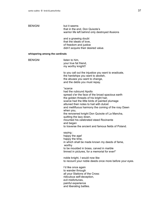| <b>BENIGNI</b> |  |
|----------------|--|
|----------------|--|

but it seems that in the end, Don Quixote's warrior life left behind only destroyed illusions

and a gnawing doubt that the ideals of love, of freedom and justice didn't acquire their desired value.

# **whispering among the cardinals**

| willspering among the cardinals |                                                                                                                                                                                                                                                                                                                                                                                                                                                                                              |  |
|---------------------------------|----------------------------------------------------------------------------------------------------------------------------------------------------------------------------------------------------------------------------------------------------------------------------------------------------------------------------------------------------------------------------------------------------------------------------------------------------------------------------------------------|--|
| <b>BENIGNI</b>                  | listen to him,<br>your true fat friend,<br>my worthy knight!!                                                                                                                                                                                                                                                                                                                                                                                                                                |  |
|                                 | to you call out the injustice you want to eradicate,<br>the hardships you want to abolish,<br>the abuses you want to change,<br>and the debts you must repay.                                                                                                                                                                                                                                                                                                                                |  |
|                                 | "scarce<br>had the rubicund Apollo<br>spread o'er the face of the broad spacious earth<br>the golden threads of his bright hair,<br>scarce had the little birds of painted plumage<br>attuned their notes to hail with dulcet<br>and mellifluous harmony the coming of the rosy Dawn<br>when you,<br>the renowned knight Don Quixote of La Mancha,<br>quitting the lazy down,<br>mounted his celebrated steed Rocinante<br>and began<br>to traverse the ancient and famous fields of Poland. |  |
|                                 | saying:<br>happy the age!<br>happy the time,<br>in which shall be made known my deeds of fame,<br>worthy<br>to be moulded in brass, carved in marble<br>limned in pictures, for a memorial for ever!"                                                                                                                                                                                                                                                                                        |  |
|                                 | noble knight, I would now like<br>to recount your noble deeds once more before your eyes.                                                                                                                                                                                                                                                                                                                                                                                                    |  |
|                                 | I'd like once again<br>to wander through<br>all your Stations of the Cross:<br>ridiculous self-deception,<br>evil misfortunes,<br>painful experience<br>and liberating battles.                                                                                                                                                                                                                                                                                                              |  |
|                                 |                                                                                                                                                                                                                                                                                                                                                                                                                                                                                              |  |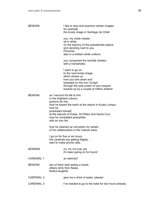| <b>BENIGNI</b>    | I like to stop and examine certain images.<br>for example<br>the lovely image in Santiago de Chile!                                                                                                                                                                                  |
|-------------------|--------------------------------------------------------------------------------------------------------------------------------------------------------------------------------------------------------------------------------------------------------------------------------------|
|                   | you, my noble master,<br>all in white,<br>on the balcony of the presidential palace,<br>and standing next to you<br>Pinochet,<br>also in a brilliant white uniform.                                                                                                                  |
|                   | you conquered the horrible dictator<br>with a handshake.                                                                                                                                                                                                                             |
|                   | I want to go on<br>to the next lovely image<br>which shows us<br>how you tore down and<br>trampled on the Iron Curtain<br>through the sole power of your prayers<br>backed up by a couple of million dollars!                                                                        |
| <b>BENIGNI</b>    | so I recount his life to him.<br>in the brightest colours.<br>perform for him<br>how he kissed the earth at the airport in Kuala Lumpur.<br>how he<br>prostrated himself<br>at the airports of Dubai, St. Pölten and Santa Cruz<br>how he combatted pedophilia<br>with an iron fist. |
|                   | how he cleaned up corruption by certain<br>of his collaborators in the Vatican bank.                                                                                                                                                                                                 |
|                   | I go on for five or six hours.<br>the cardinals are getting fidgety<br>start to make phone calls.                                                                                                                                                                                    |
| <b>MORSINI</b>    | no, it's not over yet<br>it's been going on for hours!                                                                                                                                                                                                                               |
| <b>CARDINAL 1</b> | an eternity!!                                                                                                                                                                                                                                                                        |
| <b>BENIGNI</b>    | two of them start eating a snack.<br>others drink from flasks.<br>festive laughter.                                                                                                                                                                                                  |
| <b>CARDINAL 2</b> | give me a drink of water, please!                                                                                                                                                                                                                                                    |
| <b>CARDINAL 3</b> | I've needed to go to the toilet for two hours already.                                                                                                                                                                                                                               |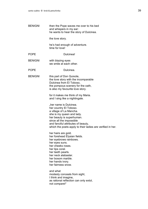| <b>BENIGNI</b> | then the Pope waves me over to his bed<br>and whispers in my ear:<br>he wants to hear the story of Dulcinea.                                                                                                                                                                                                                                                                      |
|----------------|-----------------------------------------------------------------------------------------------------------------------------------------------------------------------------------------------------------------------------------------------------------------------------------------------------------------------------------------------------------------------------------|
|                | the love story.                                                                                                                                                                                                                                                                                                                                                                   |
|                | he's had enough of adventure.<br>time for love!                                                                                                                                                                                                                                                                                                                                   |
| <b>POPE</b>    | Dulcinea!                                                                                                                                                                                                                                                                                                                                                                         |
| <b>BENIGNI</b> | with blazing eyes<br>we smile at each other.                                                                                                                                                                                                                                                                                                                                      |
| <b>POPE</b>    | Dulcinea.                                                                                                                                                                                                                                                                                                                                                                         |
| <b>BENIGNI</b> | this part of Don Quixote,<br>the love story with the incomparable<br>Dulcinea from El Toboso,<br>the pompous scenery for the oath,<br>is also my favourite love story.                                                                                                                                                                                                            |
|                | for it makes me think of my Maria.<br>and I sing like a nightingale.                                                                                                                                                                                                                                                                                                              |
|                | "her name is Dulcinea.<br>her country El Toboso.<br>a village of La Mancha.<br>she is my queen and lady.<br>her beauty is superhuman.<br>since all the impossible<br>and fanciful attributes of beauty,<br>which the poets apply to their ladies are verified in her.                                                                                                             |
|                | her hairs are gold.<br>her forehead Elysian fields.<br>her eyebrows rainbows.<br>her eyes suns.<br>her cheeks roses.<br>her lips coral.<br>her teeth pearls.<br>her neck alabaster.<br>her bosom marble.<br>her hands ivory.<br>her fairness snow.<br>and what<br>modesty conceals from sight,<br>I think and imagine,<br>as rational reflection can only extol,<br>not compare!" |
|                |                                                                                                                                                                                                                                                                                                                                                                                   |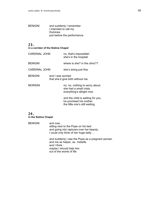BENIGNI and suddenly I remember I intended to call my Dulcinea just before the performance.

# 23.

**in a corridor of the Sistine Chapel**

| <b>CARDINAL JOHN</b> |                                                        | no, that's impossible!<br>she's in the hospital                                                 |
|----------------------|--------------------------------------------------------|-------------------------------------------------------------------------------------------------|
| <b>BENIGNI</b>       |                                                        | where is she? in the clinic??                                                                   |
| CARDINAL JOHN        |                                                        | she's doing just fine.                                                                          |
| <b>BENIGNI</b>       | and I was worried<br>that she'd give birth without me. |                                                                                                 |
| <b>MORSINI</b>       |                                                        | no, no, nothing to worry about.<br>she had a small crisis.<br>everything's allright now.        |
|                      |                                                        | and the child is waiting for you,<br>he promised his mother.<br>the little one's still waiting. |

# 24.

**in the Sistine Chapel**

BENIGNI and now, sitting next to the Pope on his bed and going into raptures over her beauty, I could only think of her huge belly … and suddenly I see the Pope as a pregnant woman and me as helper, as midwife. and I think : maybe I should help him out of the womb of life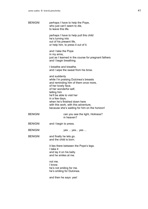| <b>BENIGNI</b> | perhaps I have to help the Pope,<br>who just can't seem to die,<br>to leave this life.                                                                                                                                                                                                                                                 |
|----------------|----------------------------------------------------------------------------------------------------------------------------------------------------------------------------------------------------------------------------------------------------------------------------------------------------------------------------------------|
|                | perhaps I have to help pull this child<br>he's turning into<br>out of his present life,<br>or help him, to press it out of it.                                                                                                                                                                                                         |
|                | and I take the Pope<br>in my arms,<br>just as I learned in the course for pregnant fathers<br>and I begin breathing.                                                                                                                                                                                                                   |
|                | I breathe and breathe.<br>and I wipe the sweat from his brow.                                                                                                                                                                                                                                                                          |
|                | and suddenly<br>while I'm praising Dulcinea's breasts<br>and reminding him of them once more,<br>of her lovely face,<br>of her wonderful self,<br>telling him<br>he'll be able to visit her<br>in a few days,<br>when he's finished down here<br>with this work, with this adventure,<br>because she's waiting for him on the horizon! |
| <b>BENIGNI</b> | can you see the light, Holiness?<br>in heaven?                                                                                                                                                                                                                                                                                         |
| <b>BENIGNI</b> | and I begin to press.                                                                                                                                                                                                                                                                                                                  |
| <b>BENIGNI</b> | yes  yes yes                                                                                                                                                                                                                                                                                                                           |
| <b>BENIGNI</b> | and finally he lets go.<br>and the child is born.                                                                                                                                                                                                                                                                                      |
|                | it lies there between the Pope's legs.<br>I take it<br>and lay it on his belly.<br>and he smiles at me.                                                                                                                                                                                                                                |
|                | not me.<br>I know.<br>he's not smiling for me.<br>he's smiling for Dulcinea.                                                                                                                                                                                                                                                           |
|                | and then he says: yes!                                                                                                                                                                                                                                                                                                                 |
|                |                                                                                                                                                                                                                                                                                                                                        |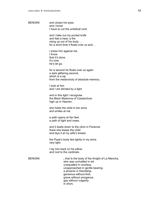BENIGNI and closes his eyes. and I know I have to cut the umbilical cord.

> and I take out my pocket knife and feel a heat, a fire rising up out of his body … for a short time it floats over us and…

I press him against me. I know that it's done. it's over. he's let go.

for a second he floats over us again. a dark glittering second, which is a sip from the melancholy of absolute memory.

I look at him and I am blinded by a light.

and in this light I recognise the Black Madonna of Czestochow high up in Heaven.

she holds the child in her arms and smiles at me.

a path opens at her feet. a path of light and roses.

and it leads down to the clinic in Florence. there she kisses the child and lays it at my wife's breast.

the Pope's body lies lightly in my arms. very light.

I lay him back on his pillow. and nod to the cardinals.

BENIGNI "", that is the body of the Knight of La Mancha, who was unrivalled in wit. unequalled in courtesy. unapproached in gentle bearing. a phoenix in friendship. generous without limit. grave without arrogance. gay without vulgarity. in short,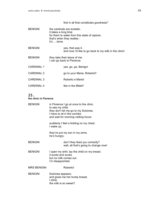# first in all that constitutes goodness!"

| <b>BENIGNI</b>    | the cardinals are ecstatic.<br>it takes a long time<br>for them to wake from this state of rapture.<br>that's when they realise :<br>it's  done. |
|-------------------|--------------------------------------------------------------------------------------------------------------------------------------------------|
| <b>BENIGNI</b>    | yes, that was it.<br>and now I'd like to go back to my wife in the clinic!                                                                       |
| <b>BENIGNI</b>    | they take their leave of me.<br>I can go back to Florence.                                                                                       |
| <b>CARDINAL 1</b> | yes, go, go, Benigni                                                                                                                             |
| <b>CARDINAL 2</b> | go to your Maria, Roberto!!                                                                                                                      |
| <b>CARDINAL 3</b> | Roberto e Maria!                                                                                                                                 |
| <b>CARDINAL 4</b> | like in the Bible!!                                                                                                                              |

# 25.

#### **the clinic in Florence**

| <b>BENIGNI</b>     | in Florence I go at once to the clinic.<br>to see my child.<br>they don't let me go to my Dulcinea.<br>I have to sit in the corridor.<br>and wait for morning visiting hours. |
|--------------------|-------------------------------------------------------------------------------------------------------------------------------------------------------------------------------|
|                    | suddenly I feel a tickling on my chest.<br>I wake up.                                                                                                                         |
|                    | they've put my son in my arms.<br>he's hungry.                                                                                                                                |
| <b>BENIGNI</b>     | don't they feed you correctly?<br>well, all that's going to change now!                                                                                                       |
| <b>BENIGNI</b>     | I open my shirt. lay the child on my breast.<br>it sucks and sucks.<br>but no milk comes out.<br>I'm disappointed.                                                            |
| <b>MRS BENIGNI</b> | Roberto!                                                                                                                                                                      |
| <b>BENIGNI</b>     | Dulcinea appears.<br>and gives me her lovely breast.<br>l drink<br>the milk is so sweet?.                                                                                     |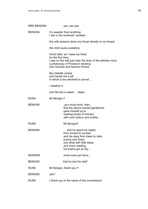| <b>MRS BENIGNI</b> | yes. yes yes.                                                                                                                                                                             |
|--------------------|-------------------------------------------------------------------------------------------------------------------------------------------------------------------------------------------|
| <b>BENIGNI</b>     | it's sweeter than anything<br>I ate in the cardinals' canteen.                                                                                                                            |
|                    | the milk streams down my throat directly to my breast.                                                                                                                                    |
|                    | the child sucks ecstaticly.                                                                                                                                                               |
|                    | hours later, as I raise my head<br>for the first time.<br>I see on the wall just near the door of the delivery room<br>a photocopy of Picasso's drawing:<br>Don Quixote and Sancho Panza. |
|                    | the midwife comes<br>and hands me a pill<br>in which a tiny windmill is carved                                                                                                            |
|                    | I swallow it.                                                                                                                                                                             |
|                    | and fall into a sweet  sleep.                                                                                                                                                             |
| <b>RUINI</b>       | Mr Benigni !!                                                                                                                                                                             |
| <b>BENIGNI</b>     | "you must know, then,<br>that the above-named gentleman<br>gave himself up to<br>reading books of chivalry<br>with such ardour and avidity                                                |
| <b>RUINI</b>       | Mr Benigni!!                                                                                                                                                                              |
| <b>BENIGNI</b>     | that he spent his nights<br>from sunset to sunrise<br>and his days from dawn to dark,<br>poring over them.<br>and what with little sleep<br>and much reading,<br>his brains got so dry    |
| <b>MORSINI</b>     | more more por favor                                                                                                                                                                       |
| <b>BENIGNI</b>     | that he lost his wits!"                                                                                                                                                                   |
| <b>RUINI</b>       | Mr Benigni, thank you !!                                                                                                                                                                  |
| <b>BENIGNI</b>     | yes?                                                                                                                                                                                      |
| <b>RUINI</b>       | I thank you in the name of the commission!                                                                                                                                                |